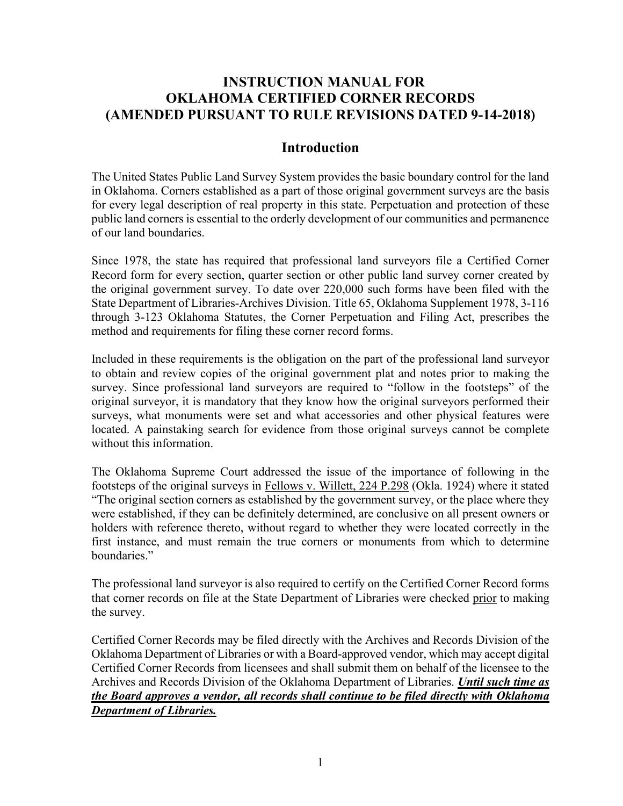## **INSTRUCTION MANUAL FOR OKLAHOMA CERTIFIED CORNER RECORDS (AMENDED PURSUANT TO RULE REVISIONS DATED 9-14-2018)**

### **Introduction**

The United States Public Land Survey System provides the basic boundary control for the land in Oklahoma. Corners established as a part of those original government surveys are the basis for every legal description of real property in this state. Perpetuation and protection of these public land corners is essential to the orderly development of our communities and permanence of our land boundaries.

Since 1978, the state has required that professional land surveyors file a Certified Corner Record form for every section, quarter section or other public land survey corner created by the original government survey. To date over 220,000 such forms have been filed with the State Department of Libraries-Archives Division. Title 65, Oklahoma Supplement 1978, 3-116 through 3-123 Oklahoma Statutes, the Corner Perpetuation and Filing Act, prescribes the method and requirements for filing these corner record forms.

Included in these requirements is the obligation on the part of the professional land surveyor to obtain and review copies of the original government plat and notes prior to making the survey. Since professional land surveyors are required to "follow in the footsteps" of the original surveyor, it is mandatory that they know how the original surveyors performed their surveys, what monuments were set and what accessories and other physical features were located. A painstaking search for evidence from those original surveys cannot be complete without this information.

The Oklahoma Supreme Court addressed the issue of the importance of following in the footsteps of the original surveys in Fellows v. Willett, 224 P.298 (Okla. 1924) where it stated "The original section corners as established by the government survey, or the place where they were established, if they can be definitely determined, are conclusive on all present owners or holders with reference thereto, without regard to whether they were located correctly in the first instance, and must remain the true corners or monuments from which to determine boundaries."

The professional land surveyor is also required to certify on the Certified Corner Record forms that corner records on file at the State Department of Libraries were checked prior to making the survey.

Certified Corner Records may be filed directly with the Archives and Records Division of the Oklahoma Department of Libraries or with a Board-approved vendor, which may accept digital Certified Corner Records from licensees and shall submit them on behalf of the licensee to the Archives and Records Division of the Oklahoma Department of Libraries. *Until such time as the Board approves a vendor, all records shall continue to be filed directly with Oklahoma Department of Libraries.*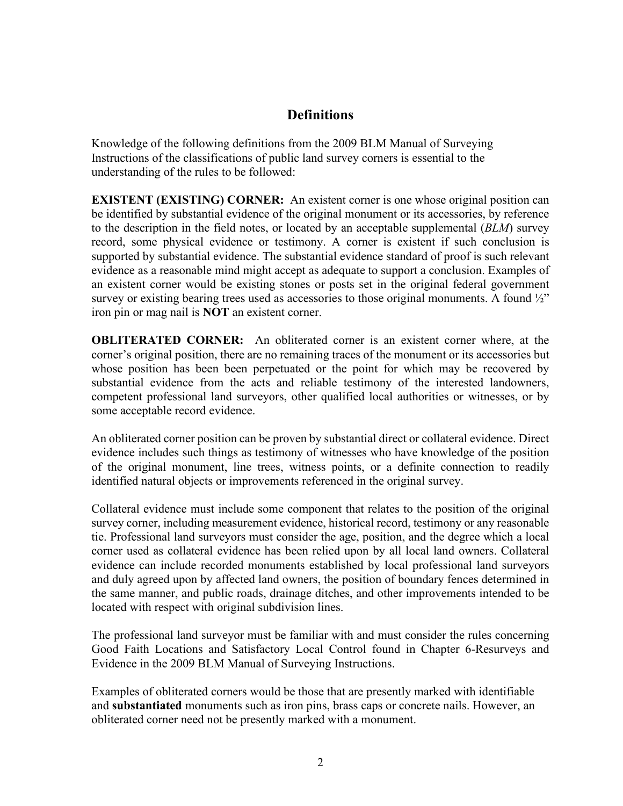## **Definitions**

Knowledge of the following definitions from the 2009 BLM Manual of Surveying Instructions of the classifications of public land survey corners is essential to the understanding of the rules to be followed:

**EXISTENT (EXISTING) CORNER:** An existent corner is one whose original position can be identified by substantial evidence of the original monument or its accessories, by reference to the description in the field notes, or located by an acceptable supplemental (*BLM*) survey record, some physical evidence or testimony. A corner is existent if such conclusion is supported by substantial evidence. The substantial evidence standard of proof is such relevant evidence as a reasonable mind might accept as adequate to support a conclusion. Examples of an existent corner would be existing stones or posts set in the original federal government survey or existing bearing trees used as accessories to those original monuments. A found  $\frac{1}{2}$ " iron pin or mag nail is **NOT** an existent corner.

**OBLITERATED CORNER:** An obliterated corner is an existent corner where, at the corner's original position, there are no remaining traces of the monument or its accessories but whose position has been been perpetuated or the point for which may be recovered by substantial evidence from the acts and reliable testimony of the interested landowners, competent professional land surveyors, other qualified local authorities or witnesses, or by some acceptable record evidence.

An obliterated corner position can be proven by substantial direct or collateral evidence. Direct evidence includes such things as testimony of witnesses who have knowledge of the position of the original monument, line trees, witness points, or a definite connection to readily identified natural objects or improvements referenced in the original survey.

Collateral evidence must include some component that relates to the position of the original survey corner, including measurement evidence, historical record, testimony or any reasonable tie. Professional land surveyors must consider the age, position, and the degree which a local corner used as collateral evidence has been relied upon by all local land owners. Collateral evidence can include recorded monuments established by local professional land surveyors and duly agreed upon by affected land owners, the position of boundary fences determined in the same manner, and public roads, drainage ditches, and other improvements intended to be located with respect with original subdivision lines.

The professional land surveyor must be familiar with and must consider the rules concerning Good Faith Locations and Satisfactory Local Control found in Chapter 6-Resurveys and Evidence in the 2009 BLM Manual of Surveying Instructions.

Examples of obliterated corners would be those that are presently marked with identifiable and **substantiated** monuments such as iron pins, brass caps or concrete nails. However, an obliterated corner need not be presently marked with a monument.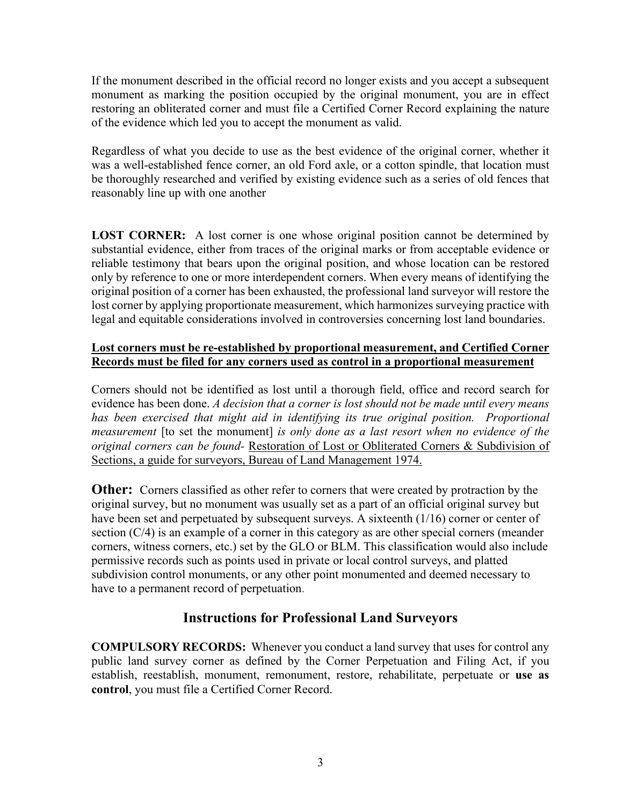If the monument described in the official record no longer exists and you accept a subsequent monument as marking the position occupied by the original monument, you are in effect restoring an obliterated corner and must file a Certified Corner Record explaining the nature of the evidence which led you to accept the monument as valid.

Regardless of what you decide to use as the best evidence of the original corner, whether it was a well-established fence corner, an old Ford axle, or a cotton spindle, that location must be thoroughly researched and verified by existing evidence such as a series of old fences that reasonably line up with one another

**LOST CORNER:** A lost corner is one whose original position cannot be determined by substantial evidence, either from traces of the original marks or from acceptable evidence or reliable testimony that bears upon the original position, and whose location can be restored only by reference to one or more interdependent corners. When every means of identifying the original position of a corner has been exhausted, the professional land surveyor will restore the lost corner by applying proportionate measurement, which harmonizes surveying practice with legal and equitable considerations involved in controversies concerning lost land boundaries.

### **Lost corners must be re-established by proportional measurement, and Certified Corner Records must be filed for any corners used as control in a proportional measurement**

Corners should not be identified as lost until a thorough field, office and record search for evidence has been done. *A decision that a corner is lost should not be made until every means*  has been exercised that might aid in identifying its true original position. Proportional *measurement* [to set the monument] *is only done as a last resort when no evidence of the original corners can be found-* Restoration of Lost or Obliterated Corners & Subdivision of Sections, a guide for surveyors, Bureau of Land Management 1974.

**Other:** Corners classified as other refer to corners that were created by protraction by the original survey, but no monument was usually set as a part of an official original survey but have been set and perpetuated by subsequent surveys. A sixteenth (1/16) corner or center of section (C/4) is an example of a corner in this category as are other special corners (meander corners, witness corners, etc.) set by the GLO or BLM. This classification would also include permissive records such as points used in private or local control surveys, and platted subdivision control monuments, or any other point monumented and deemed necessary to have to a permanent record of perpetuation.

# **Instructions for Professional Land Surveyors**

**COMPULSORY RECORDS:** Whenever you conduct a land survey that uses for control any public land survey corner as defined by the Corner Perpetuation and Filing Act, if you establish, reestablish, monument, remonument, restore, rehabilitate, perpetuate or **use as control**, you must file a Certified Corner Record.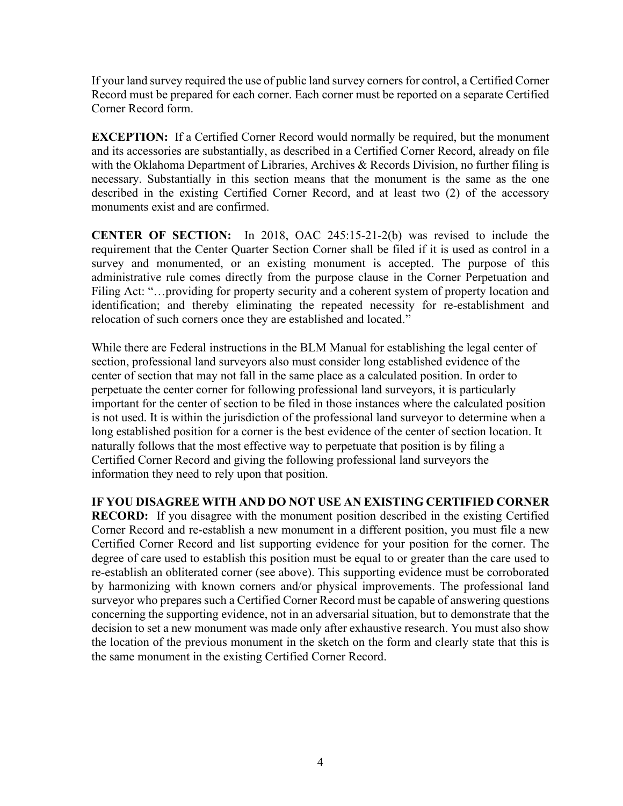If your land survey required the use of public land survey corners for control, a Certified Corner Record must be prepared for each corner. Each corner must be reported on a separate Certified Corner Record form.

**EXCEPTION:** If a Certified Corner Record would normally be required, but the monument and its accessories are substantially, as described in a Certified Corner Record, already on file with the Oklahoma Department of Libraries, Archives  $\&$  Records Division, no further filing is necessary. Substantially in this section means that the monument is the same as the one described in the existing Certified Corner Record, and at least two (2) of the accessory monuments exist and are confirmed.

**CENTER OF SECTION:** In 2018, OAC 245:15-21-2(b) was revised to include the requirement that the Center Quarter Section Corner shall be filed if it is used as control in a survey and monumented, or an existing monument is accepted. The purpose of this administrative rule comes directly from the purpose clause in the Corner Perpetuation and Filing Act: "...providing for property security and a coherent system of property location and identification; and thereby eliminating the repeated necessity for re-establishment and relocation of such corners once they are established and located."

While there are Federal instructions in the BLM Manual for establishing the legal center of section, professional land surveyors also must consider long established evidence of the center of section that may not fall in the same place as a calculated position. In order to perpetuate the center corner for following professional land surveyors, it is particularly important for the center of section to be filed in those instances where the calculated position is not used. It is within the jurisdiction of the professional land surveyor to determine when a long established position for a corner is the best evidence of the center of section location. It naturally follows that the most effective way to perpetuate that position is by filing a Certified Corner Record and giving the following professional land surveyors the information they need to rely upon that position.

**IF YOU DISAGREE WITH AND DO NOT USE AN EXISTING CERTIFIED CORNER RECORD:** If you disagree with the monument position described in the existing Certified Corner Record and re-establish a new monument in a different position, you must file a new Certified Corner Record and list supporting evidence for your position for the corner. The degree of care used to establish this position must be equal to or greater than the care used to re-establish an obliterated corner (see above). This supporting evidence must be corroborated by harmonizing with known corners and/or physical improvements. The professional land surveyor who prepares such a Certified Corner Record must be capable of answering questions concerning the supporting evidence, not in an adversarial situation, but to demonstrate that the decision to set a new monument was made only after exhaustive research. You must also show the location of the previous monument in the sketch on the form and clearly state that this is the same monument in the existing Certified Corner Record.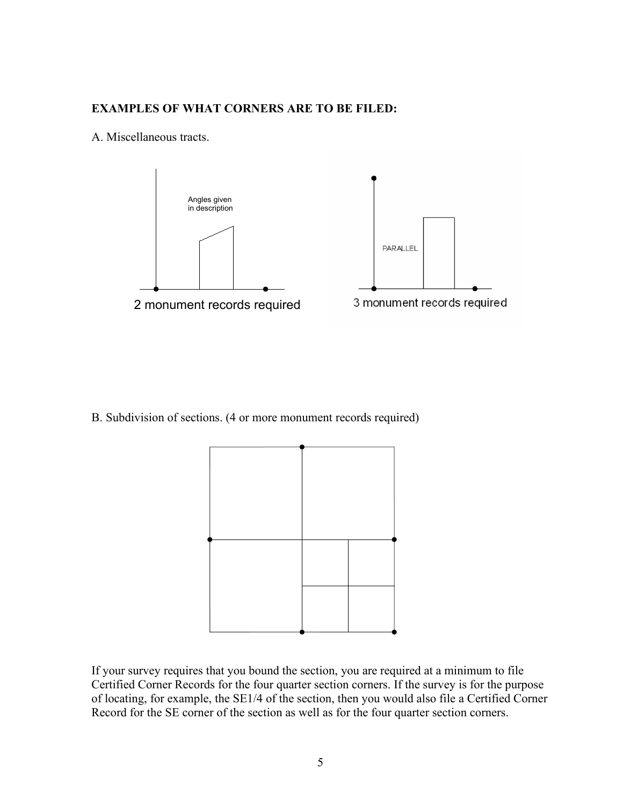#### **EXAMPLES OF WHAT CORNERS ARE TO BE FILED:**

#### A. Miscellaneous tracts.





B. Subdivision of sections. (4 or more monument records required)



If your survey requires that you bound the section, you are required at a minimum to file Certified Corner Records for the four quarter section corners. If the survey is for the purpose of locating, for example, the SE1/4 of the section, then you would also file a Certified Corner Record for the SE corner of the section as well as for the four quarter section corners.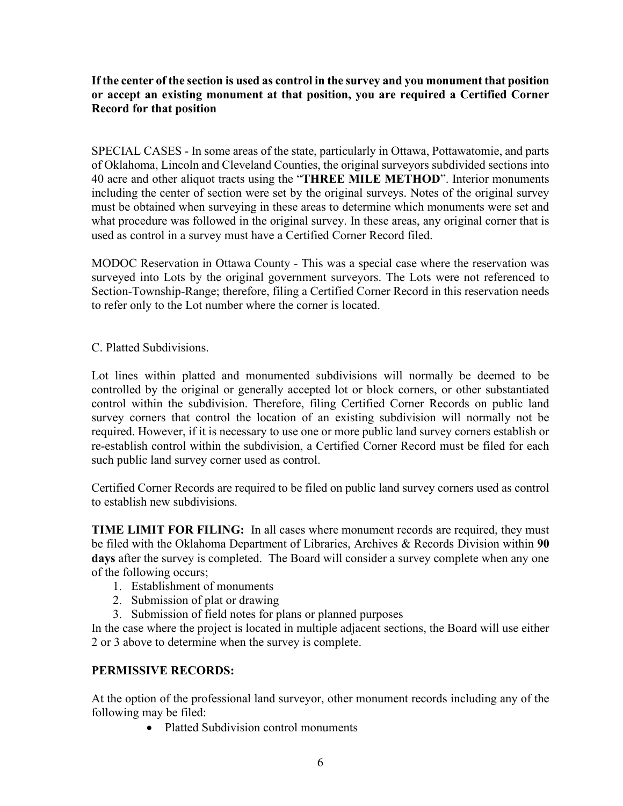#### **If the center of the section is used as control in the survey and you monument that position or accept an existing monument at that position, you are required a Certified Corner Record for that position**

SPECIAL CASES - In some areas of the state, particularly in Ottawa, Pottawatomie, and parts of Oklahoma, Lincoln and Cleveland Counties, the original surveyors subdivided sections into 40 acre and other aliquot tracts using the "**THREE MILE METHOD**". Interior monuments including the center of section were set by the original surveys. Notes of the original survey must be obtained when surveying in these areas to determine which monuments were set and what procedure was followed in the original survey. In these areas, any original corner that is used as control in a survey must have a Certified Corner Record filed.

MODOC Reservation in Ottawa County - This was a special case where the reservation was surveyed into Lots by the original government surveyors. The Lots were not referenced to Section-Township-Range; therefore, filing a Certified Corner Record in this reservation needs to refer only to the Lot number where the corner is located.

C. Platted Subdivisions.

Lot lines within platted and monumented subdivisions will normally be deemed to be controlled by the original or generally accepted lot or block corners, or other substantiated control within the subdivision. Therefore, filing Certified Corner Records on public land survey corners that control the location of an existing subdivision will normally not be required. However, if it is necessary to use one or more public land survey corners establish or re-establish control within the subdivision, a Certified Corner Record must be filed for each such public land survey corner used as control.

Certified Corner Records are required to be filed on public land survey corners used as control to establish new subdivisions.

**TIME LIMIT FOR FILING:** In all cases where monument records are required, they must be filed with the Oklahoma Department of Libraries, Archives & Records Division within **90 days** after the survey is completed. The Board will consider a survey complete when any one of the following occurs;

- 1. Establishment of monuments
- 2. Submission of plat or drawing
- 3. Submission of field notes for plans or planned purposes

In the case where the project is located in multiple adjacent sections, the Board will use either 2 or 3 above to determine when the survey is complete.

#### **PERMISSIVE RECORDS:**

At the option of the professional land surveyor, other monument records including any of the following may be filed:

• Platted Subdivision control monuments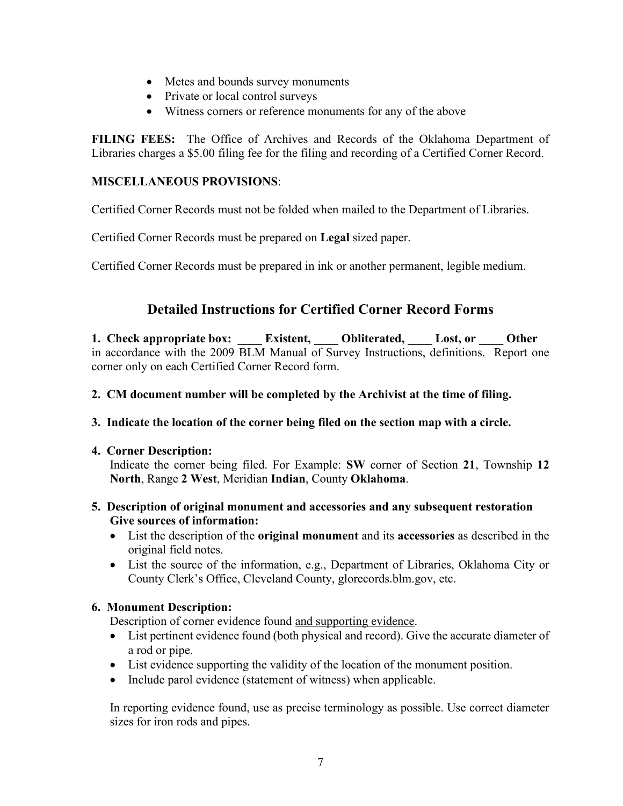- Metes and bounds survey monuments
- Private or local control surveys
- Witness corners or reference monuments for any of the above

**FILING FEES:** The Office of Archives and Records of the Oklahoma Department of Libraries charges a \$5.00 filing fee for the filing and recording of a Certified Corner Record.

#### **MISCELLANEOUS PROVISIONS**:

Certified Corner Records must not be folded when mailed to the Department of Libraries.

Certified Corner Records must be prepared on **Legal** sized paper.

Certified Corner Records must be prepared in ink or another permanent, legible medium.

# **Detailed Instructions for Certified Corner Record Forms**

**1. Check appropriate box:** Existent, Obliterated, Lost, or Other in accordance with the 2009 BLM Manual of Survey Instructions, definitions. Report one corner only on each Certified Corner Record form.

#### **2. CM document number will be completed by the Archivist at the time of filing.**

#### **3. Indicate the location of the corner being filed on the section map with a circle.**

#### **4. Corner Description:**

Indicate the corner being filed. For Example: **SW** corner of Section **21**, Township **12 North**, Range **2 West**, Meridian **Indian**, County **Oklahoma**.

#### **5. Description of original monument and accessories and any subsequent restoration Give sources of information:**

- List the description of the **original monument** and its **accessories** as described in the original field notes.
- List the source of the information, e.g., Department of Libraries, Oklahoma City or County Clerk's Office, Cleveland County, glorecords.blm.gov, etc.

#### **6. Monument Description:**

Description of corner evidence found and supporting evidence.

- List pertinent evidence found (both physical and record). Give the accurate diameter of a rod or pipe.
- List evidence supporting the validity of the location of the monument position.
- Include parol evidence (statement of witness) when applicable.

In reporting evidence found, use as precise terminology as possible. Use correct diameter sizes for iron rods and pipes.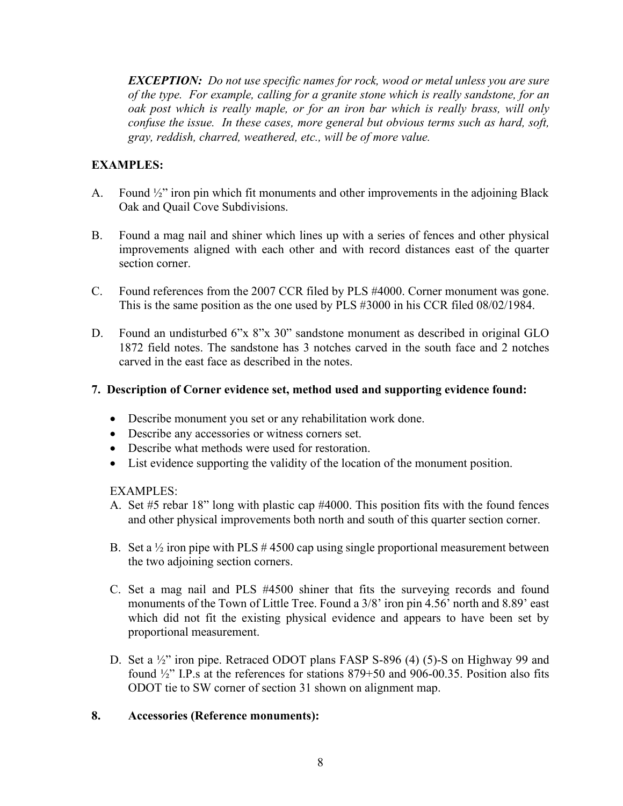*EXCEPTION: Do not use specific names for rock, wood or metal unless you are sure of the type. For example, calling for a granite stone which is really sandstone, for an oak post which is really maple, or for an iron bar which is really brass, will only confuse the issue. In these cases, more general but obvious terms such as hard, soft, gray, reddish, charred, weathered, etc., will be of more value.*

### **EXAMPLES:**

- A. Found  $\frac{1}{2}$  ron pin which fit monuments and other improvements in the adjoining Black Oak and Quail Cove Subdivisions.
- B. Found a mag nail and shiner which lines up with a series of fences and other physical improvements aligned with each other and with record distances east of the quarter section corner.
- C. Found references from the 2007 CCR filed by PLS #4000. Corner monument was gone. This is the same position as the one used by PLS #3000 in his CCR filed 08/02/1984.
- D. Found an undisturbed 6"x 8"x 30" sandstone monument as described in original GLO 1872 field notes. The sandstone has 3 notches carved in the south face and 2 notches carved in the east face as described in the notes.

#### **7. Description of Corner evidence set, method used and supporting evidence found:**

- Describe monument you set or any rehabilitation work done.
- Describe any accessories or witness corners set.
- Describe what methods were used for restoration.
- List evidence supporting the validity of the location of the monument position.

#### EXAMPLES:

- A. Set #5 rebar 18" long with plastic cap #4000. This position fits with the found fences and other physical improvements both north and south of this quarter section corner.
- B. Set a  $\frac{1}{2}$  iron pipe with PLS #4500 cap using single proportional measurement between the two adjoining section corners.
- C. Set a mag nail and PLS #4500 shiner that fits the surveying records and found monuments of the Town of Little Tree. Found a 3/8' iron pin 4.56' north and 8.89' east which did not fit the existing physical evidence and appears to have been set by proportional measurement.
- D. Set a 1/2" iron pipe. Retraced ODOT plans FASP S-896 (4) (5)-S on Highway 99 and found ½" I.P.s at the references for stations 879+50 and 906-00.35. Position also fits ODOT tie to SW corner of section 31 shown on alignment map.

#### **8. Accessories (Reference monuments):**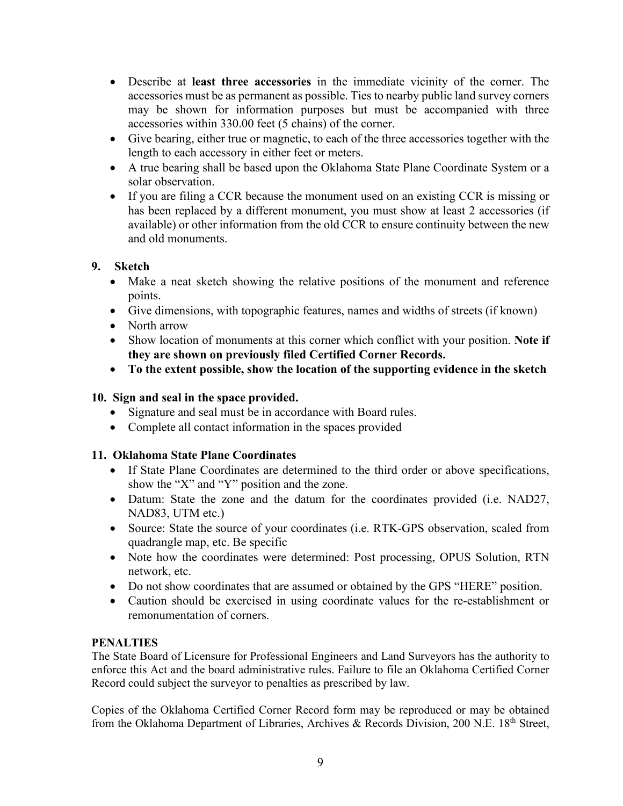- Describe at **least three accessories** in the immediate vicinity of the corner. The accessories must be as permanent as possible. Ties to nearby public land survey corners may be shown for information purposes but must be accompanied with three accessories within 330.00 feet (5 chains) of the corner.
- Give bearing, either true or magnetic, to each of the three accessories together with the length to each accessory in either feet or meters.
- A true bearing shall be based upon the Oklahoma State Plane Coordinate System or a solar observation.
- If you are filing a CCR because the monument used on an existing CCR is missing or has been replaced by a different monument, you must show at least 2 accessories (if available) or other information from the old CCR to ensure continuity between the new and old monuments.

### **9. Sketch**

- Make a neat sketch showing the relative positions of the monument and reference points.
- Give dimensions, with topographic features, names and widths of streets (if known)
- North arrow
- Show location of monuments at this corner which conflict with your position. **Note if they are shown on previously filed Certified Corner Records.**
- **To the extent possible, show the location of the supporting evidence in the sketch**

### **10. Sign and seal in the space provided.**

- Signature and seal must be in accordance with Board rules.
- Complete all contact information in the spaces provided

#### **11. Oklahoma State Plane Coordinates**

- If State Plane Coordinates are determined to the third order or above specifications, show the "X" and "Y" position and the zone.
- Datum: State the zone and the datum for the coordinates provided (i.e. NAD27, NAD83, UTM etc.)
- Source: State the source of your coordinates (i.e. RTK-GPS observation, scaled from quadrangle map, etc. Be specific
- Note how the coordinates were determined: Post processing, OPUS Solution, RTN network, etc.
- Do not show coordinates that are assumed or obtained by the GPS "HERE" position.
- Caution should be exercised in using coordinate values for the re-establishment or remonumentation of corners.

#### **PENALTIES**

The State Board of Licensure for Professional Engineers and Land Surveyors has the authority to enforce this Act and the board administrative rules. Failure to file an Oklahoma Certified Corner Record could subject the surveyor to penalties as prescribed by law.

Copies of the Oklahoma Certified Corner Record form may be reproduced or may be obtained from the Oklahoma Department of Libraries, Archives & Records Division, 200 N.E. 18<sup>th</sup> Street,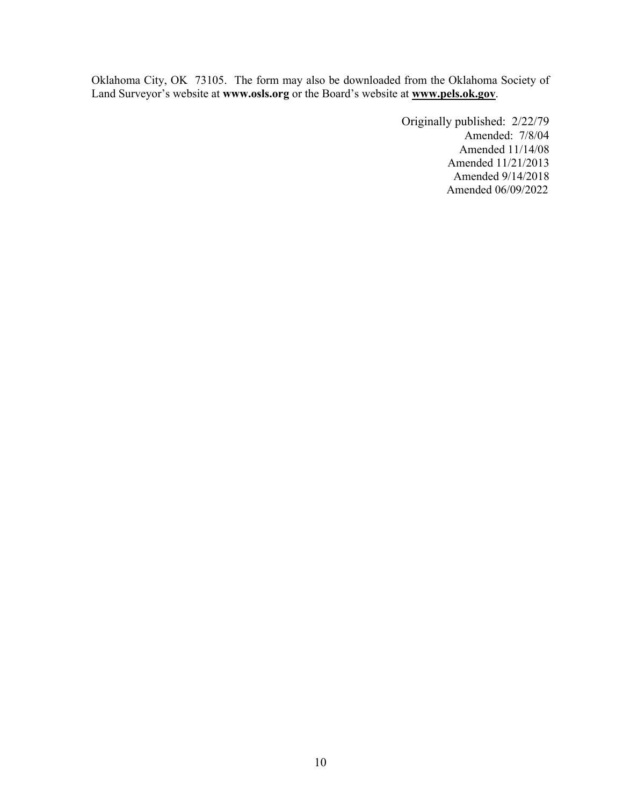Oklahoma City, OK 73105. The form may also be downloaded from the Oklahoma Society of Land Surveyor's website at **www.osls.org** or the Board's website at **[www.pels.ok.gov](http://www.pels.ok.gov/)**.

> Originally published: 2/22/79 Amended: 7/8/04 Amended 11/14/08 Amended 11/21/2013 Amended 9/14/2018 Amended 06/09/2022